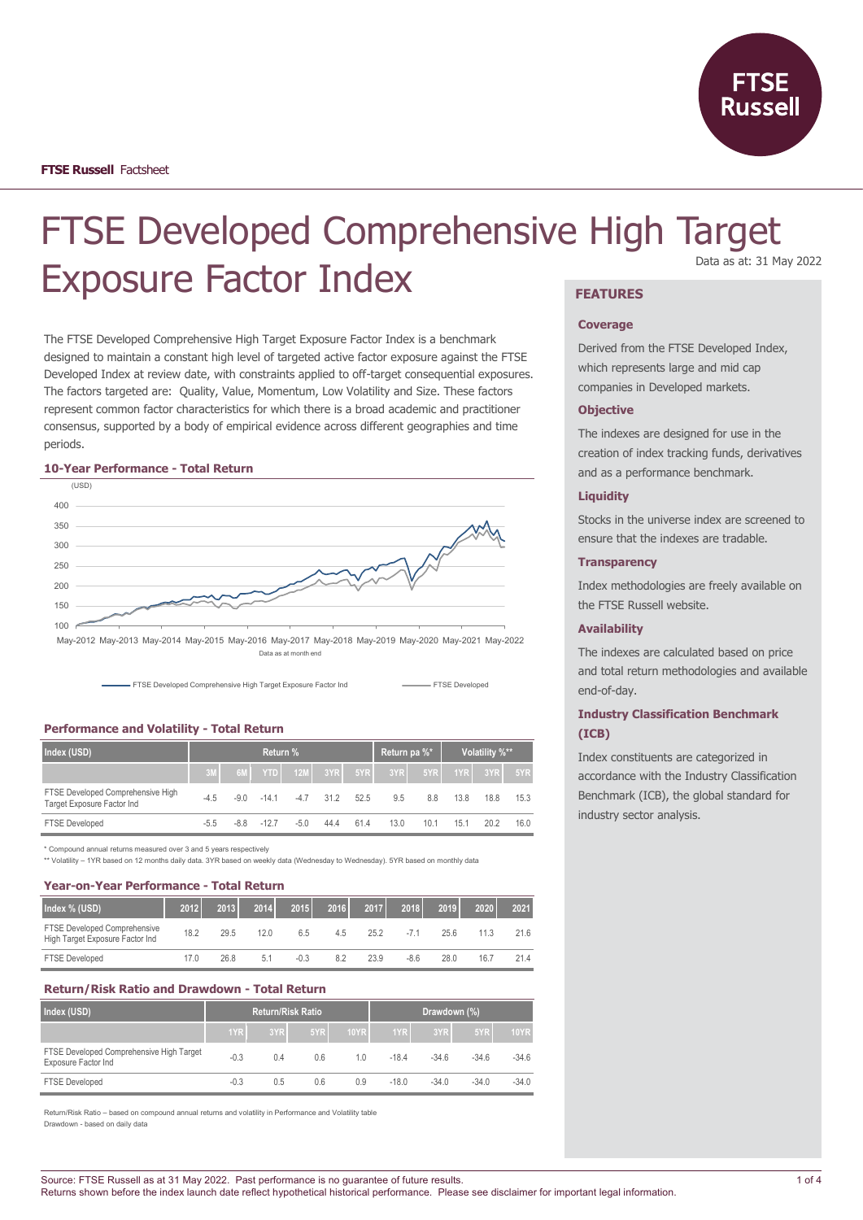

# FTSE Developed Comprehensive High Target Exposure Factor Index **FEATURES** Data as at: 31 May 2022

The FTSE Developed Comprehensive High Target Exposure Factor Index is a benchmark designed to maintain a constant high level of targeted active factor exposure against the FTSE Developed Index at review date, with constraints applied to off-target consequential exposures. The factors targeted are: Quality, Value, Momentum, Low Volatility and Size. These factors represent common factor characteristics for which there is a broad academic and practitioner consensus, supported by a body of empirical evidence across different geographies and time periods.

#### **10-Year Performance - Total Return**



Data as at month end



## **Performance and Volatility - Total Return**

| Index (USD)                                                     | Return % |        |         |        |                   | Return pa %* |      | Volatility %** |      |             |      |
|-----------------------------------------------------------------|----------|--------|---------|--------|-------------------|--------------|------|----------------|------|-------------|------|
|                                                                 | 3M       | 6M     | YTD     |        | $12M$ $3YR$ $5YR$ |              | 3YR  | 5YR            |      | $1YR$ $3YR$ | 5YR  |
| FTSE Developed Comprehensive High<br>Target Exposure Factor Ind | $-4.5$   | $-9.0$ | $-14.1$ | $-4.7$ | 31.2              | 52.5         | 9.5  | 8.8            | 13.8 | 18.8        | 15.3 |
| <b>FTSE Developed</b>                                           | $-5.5$   | $-8.8$ | $-127$  | $-5.0$ | 44.4              | 61.4         | 13.0 | 10.1           | 15.1 | 20.2        | 16.0 |

\* Compound annual returns measured over 3 and 5 years respectively

\*\* Volatility – 1YR based on 12 months daily data. 3YR based on weekly data (Wednesday to Wednesday). 5YR based on monthly data

## **Year-on-Year Performance - Total Return**

| Index % (USD)                                                   | 2012 | 2013 | 2014 | 2015   | 2016 | 2017 | 2018 | 2019 | 2020 | 2021 |
|-----------------------------------------------------------------|------|------|------|--------|------|------|------|------|------|------|
| FTSE Developed Comprehensive<br>High Target Exposure Factor Ind | 18.2 | 29.5 | 12.0 | 6.5    | 4.5  | 25.2 |      | 25.6 | 11.3 | 21.6 |
| <b>FTSE Developed</b>                                           | 17.0 | 26.8 | 5.1  | $-0.3$ | 8.2  | 23.9 | -8.6 | 28.0 | 16.7 | 21.4 |

# **Return/Risk Ratio and Drawdown - Total Return**

| Index (USD)                                                     |        |     | <b>Return/Risk Ratio</b> |      | Drawdown (%) |         |         |             |
|-----------------------------------------------------------------|--------|-----|--------------------------|------|--------------|---------|---------|-------------|
|                                                                 | 1YR    | 3YR | 5YR                      | 10YR | 1YR          | 3YR     | 5YR     | <b>10YR</b> |
| FTSE Developed Comprehensive High Target<br>Exposure Factor Ind | $-0.3$ | 0.4 | 0.6                      | 10   | $-184$       | $-34.6$ | $-34.6$ | $-34.6$     |
| <b>FTSE Developed</b>                                           | $-0.3$ | 0.5 | 0.6                      | 0.9  | $-18.0$      | $-34.0$ | $-34.0$ | $-34.0$     |

Return/Risk Ratio – based on compound annual returns and volatility in Performance and Volatility table Drawdown - based on daily data

#### **Coverage**

Derived from the FTSE Developed Index, which represents large and mid cap companies in Developed markets.

#### **Objective**

The indexes are designed for use in the creation of index tracking funds, derivatives and as a performance benchmark.

## **Liquidity**

Stocks in the universe index are screened to ensure that the indexes are tradable.

## **Transparency**

Index methodologies are freely available on the FTSE Russell website.

## **Availability**

The indexes are calculated based on price and total return methodologies and available end-of-day.

# **Industry Classification Benchmark (ICB)**

Index constituents are categorized in accordance with the Industry Classification Benchmark (ICB), the global standard for industry sector analysis.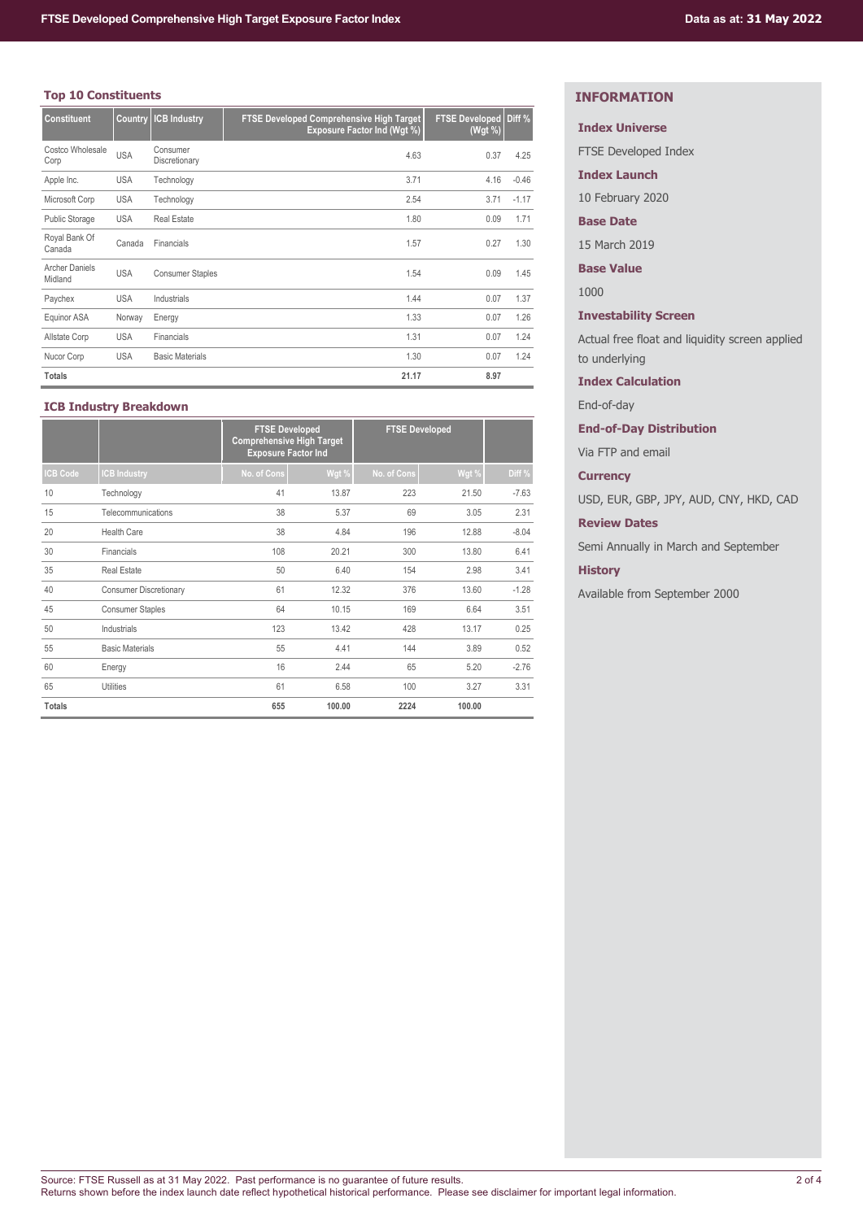# **Top 10 Constituents**

| <b>Constituent</b>               | Country    | <b>ICB Industry</b>       | FTSE Developed Comprehensive High Target<br><b>Exposure Factor Ind (Wgt %)</b> | <b>FTSE Developed</b><br>(Wgt %) | Diff %  |
|----------------------------------|------------|---------------------------|--------------------------------------------------------------------------------|----------------------------------|---------|
| Costco Wholesale<br>Corp         | <b>USA</b> | Consumer<br>Discretionary | 4.63                                                                           | 0.37                             | 4.25    |
| Apple Inc.                       | <b>USA</b> | Technology                | 3.71                                                                           | 4.16                             | $-0.46$ |
| Microsoft Corp                   | <b>USA</b> | Technology                | 2.54                                                                           | 3.71                             | $-1.17$ |
| Public Storage                   | <b>USA</b> | <b>Real Estate</b>        | 1.80                                                                           | 0.09                             | 1.71    |
| Royal Bank Of<br>Canada          | Canada     | Financials                | 1.57                                                                           | 0.27                             | 1.30    |
| <b>Archer Daniels</b><br>Midland | <b>USA</b> | <b>Consumer Staples</b>   | 1.54                                                                           | 0.09                             | 1.45    |
| Paychex                          | <b>USA</b> | Industrials               | 1.44                                                                           | 0.07                             | 1.37    |
| Equinor ASA                      | Norway     | Energy                    | 1.33                                                                           | 0.07                             | 1.26    |
| Allstate Corp                    | <b>USA</b> | Financials                | 1.31                                                                           | 0.07                             | 1.24    |
| Nucor Corp                       | <b>USA</b> | <b>Basic Materials</b>    | 1.30                                                                           | 0.07                             | 1.24    |
| <b>Totals</b>                    |            |                           | 21.17                                                                          | 8.97                             |         |

# **ICB Industry Breakdown**

|                 |                               | <b>FTSE Developed</b><br><b>Comprehensive High Target</b><br><b>Exposure Factor Ind</b> |        | <b>FTSE Developed</b> |        |         |
|-----------------|-------------------------------|-----------------------------------------------------------------------------------------|--------|-----------------------|--------|---------|
| <b>ICB Code</b> | <b>CB Industry</b>            | No. of Cons                                                                             | Wgt %  | No. of Cons           | Wgt %  | Diff %  |
| 10              | Technology                    | 41                                                                                      | 13.87  | 223                   | 21.50  | $-7.63$ |
| 15              | Telecommunications            | 38                                                                                      | 5.37   | 69                    | 3.05   | 2.31    |
| 20              | Health Care                   | 38                                                                                      | 4.84   | 196                   | 12.88  | $-8.04$ |
| 30              | Financials                    | 108                                                                                     | 20.21  | 300                   | 13.80  | 6.41    |
| 35              | <b>Real Estate</b>            | 50                                                                                      | 6.40   | 154                   | 2.98   | 3.41    |
| 40              | <b>Consumer Discretionary</b> | 61                                                                                      | 12.32  | 376                   | 13.60  | $-1.28$ |
| 45              | <b>Consumer Staples</b>       | 64                                                                                      | 10.15  | 169                   | 6.64   | 3.51    |
| 50              | Industrials                   | 123                                                                                     | 13.42  | 428                   | 13.17  | 0.25    |
| 55              | <b>Basic Materials</b>        | 55                                                                                      | 4.41   | 144                   | 3.89   | 0.52    |
| 60              | Energy                        | 16                                                                                      | 2.44   | 65                    | 5.20   | $-2.76$ |
| 65              | <b>Utilities</b>              | 61                                                                                      | 6.58   | 100                   | 3.27   | 3.31    |
| <b>Totals</b>   |                               | 655                                                                                     | 100.00 | 2224                  | 100.00 |         |

# **INFORMATION**

# **Index Universe**

FTSE Developed Index

**Index Launch**

10 February 2020

## **Base Date**

15 March 2019

**Base Value**

1000

# **Investability Screen**

Actual free float and liquidity screen applied to underlying

## **Index Calculation**

End-of-day

# **End-of-Day Distribution**

Via FTP and email

## **Currency**

USD, EUR, GBP, JPY, AUD, CNY, HKD, CAD

# **Review Dates**

Semi Annually in March and September

## **History**

Available from September 2000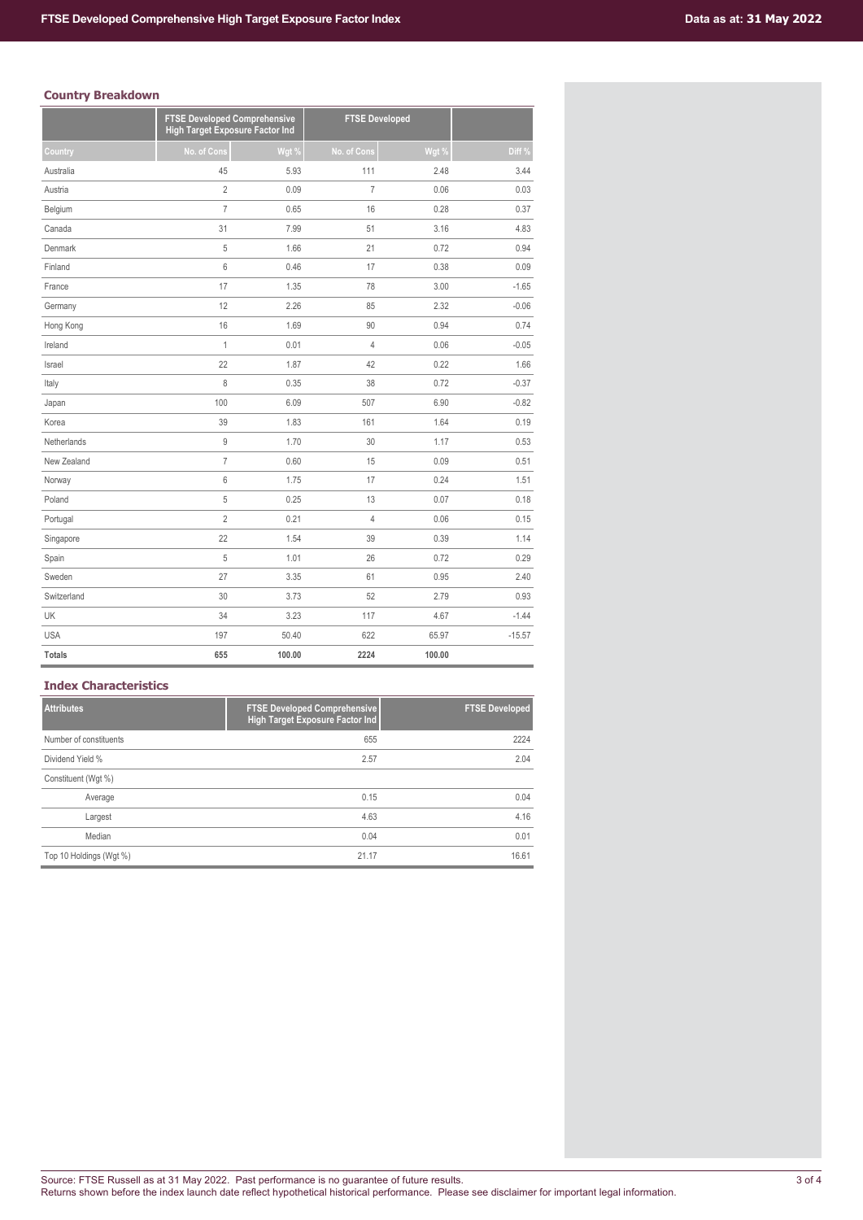# **Country Breakdown**

|               | <b>FTSE Developed Comprehensive</b><br><b>High Target Exposure Factor Ind</b> |        | <b>FTSE Developed</b> |        |          |
|---------------|-------------------------------------------------------------------------------|--------|-----------------------|--------|----------|
| Country       | No. of Cons                                                                   | Wgt %  | No. of Cons           | Wgt %  | Diff %   |
| Australia     | 45                                                                            | 5.93   | 111                   | 2.48   | 3.44     |
| Austria       | $\overline{2}$                                                                | 0.09   | $\overline{7}$        | 0.06   | 0.03     |
| Belgium       | $\overline{7}$                                                                | 0.65   | 16                    | 0.28   | 0.37     |
| Canada        | 31                                                                            | 7.99   | 51                    | 3.16   | 4.83     |
| Denmark       | 5                                                                             | 1.66   | 21                    | 0.72   | 0.94     |
| Finland       | 6                                                                             | 0.46   | 17                    | 0.38   | 0.09     |
| France        | 17                                                                            | 1.35   | 78                    | 3.00   | $-1.65$  |
| Germany       | 12                                                                            | 2.26   | 85                    | 2.32   | $-0.06$  |
| Hong Kong     | 16                                                                            | 1.69   | 90                    | 0.94   | 0.74     |
| Ireland       | $\overline{1}$                                                                | 0.01   | $\overline{4}$        | 0.06   | $-0.05$  |
| Israel        | 22                                                                            | 1.87   | 42                    | 0.22   | 1.66     |
| Italy         | 8                                                                             | 0.35   | 38                    | 0.72   | $-0.37$  |
| Japan         | 100                                                                           | 6.09   | 507                   | 6.90   | $-0.82$  |
| Korea         | 39                                                                            | 1.83   | 161                   | 1.64   | 0.19     |
| Netherlands   | 9                                                                             | 1.70   | 30                    | 1.17   | 0.53     |
| New Zealand   | $\overline{7}$                                                                | 0.60   | 15                    | 0.09   | 0.51     |
| Norway        | 6                                                                             | 1.75   | 17                    | 0.24   | 1.51     |
| Poland        | 5                                                                             | 0.25   | 13                    | 0.07   | 0.18     |
| Portugal      | $\overline{2}$                                                                | 0.21   | $\overline{4}$        | 0.06   | 0.15     |
| Singapore     | 22                                                                            | 1.54   | 39                    | 0.39   | 1.14     |
| Spain         | 5                                                                             | 1.01   | 26                    | 0.72   | 0.29     |
| Sweden        | 27                                                                            | 3.35   | 61                    | 0.95   | 2.40     |
| Switzerland   | 30                                                                            | 3.73   | 52                    | 2.79   | 0.93     |
| UK            | 34                                                                            | 3.23   | 117                   | 4.67   | $-1.44$  |
| <b>USA</b>    | 197                                                                           | 50.40  | 622                   | 65.97  | $-15.57$ |
| <b>Totals</b> | 655                                                                           | 100.00 | 2224                  | 100.00 |          |

# **Index Characteristics**

| <b>Attributes</b>       | <b>FTSE Developed Comprehensive</b><br>High Target Exposure Factor Ind | <b>FTSE Developed</b> |
|-------------------------|------------------------------------------------------------------------|-----------------------|
| Number of constituents  | 655                                                                    | 2224                  |
| Dividend Yield %        | 2.57                                                                   | 2.04                  |
| Constituent (Wqt %)     |                                                                        |                       |
| Average                 | 0.15                                                                   | 0.04                  |
| Largest                 | 4.63                                                                   | 4.16                  |
| Median                  | 0.04                                                                   | 0.01                  |
| Top 10 Holdings (Wgt %) | 21.17                                                                  | 16.61                 |